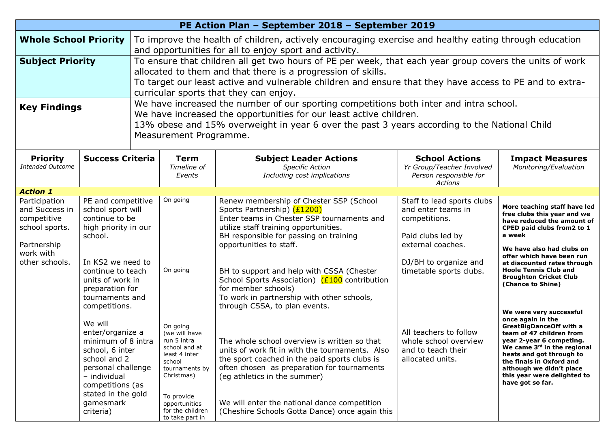| PE Action Plan - September 2018 - September 2019                                             |                                                                                                                                                                                                                   |                                                                                                                                                                                                                                                                                                                              |                                                                                                                                                                         |                                                                                                                                                                                                                                                                                                                                   |                                                                                                             |                                                                                                                                                                                                                                                                                                                                                                  |  |
|----------------------------------------------------------------------------------------------|-------------------------------------------------------------------------------------------------------------------------------------------------------------------------------------------------------------------|------------------------------------------------------------------------------------------------------------------------------------------------------------------------------------------------------------------------------------------------------------------------------------------------------------------------------|-------------------------------------------------------------------------------------------------------------------------------------------------------------------------|-----------------------------------------------------------------------------------------------------------------------------------------------------------------------------------------------------------------------------------------------------------------------------------------------------------------------------------|-------------------------------------------------------------------------------------------------------------|------------------------------------------------------------------------------------------------------------------------------------------------------------------------------------------------------------------------------------------------------------------------------------------------------------------------------------------------------------------|--|
| <b>Whole School Priority</b>                                                                 |                                                                                                                                                                                                                   | To improve the health of children, actively encouraging exercise and healthy eating through education<br>and opportunities for all to enjoy sport and activity.                                                                                                                                                              |                                                                                                                                                                         |                                                                                                                                                                                                                                                                                                                                   |                                                                                                             |                                                                                                                                                                                                                                                                                                                                                                  |  |
| <b>Subject Priority</b>                                                                      |                                                                                                                                                                                                                   | To ensure that children all get two hours of PE per week, that each year group covers the units of work<br>allocated to them and that there is a progression of skills.<br>To target our least active and vulnerable children and ensure that they have access to PE and to extra-<br>curricular sports that they can enjoy. |                                                                                                                                                                         |                                                                                                                                                                                                                                                                                                                                   |                                                                                                             |                                                                                                                                                                                                                                                                                                                                                                  |  |
| <b>Key Findings</b>                                                                          |                                                                                                                                                                                                                   | We have increased the number of our sporting competitions both inter and intra school.<br>We have increased the opportunities for our least active children.<br>13% obese and 15% overweight in year 6 over the past 3 years according to the National Child<br>Measurement Programme.                                       |                                                                                                                                                                         |                                                                                                                                                                                                                                                                                                                                   |                                                                                                             |                                                                                                                                                                                                                                                                                                                                                                  |  |
| <b>Priority</b><br><b>Intended Outcome</b>                                                   | <b>Success Criteria</b>                                                                                                                                                                                           |                                                                                                                                                                                                                                                                                                                              | <b>Term</b><br>Timeline of<br>Events                                                                                                                                    | <b>Subject Leader Actions</b><br><b>Specific Action</b><br>Including cost implications                                                                                                                                                                                                                                            | <b>School Actions</b><br>Yr Group/Teacher Involved<br>Person responsible for<br>Actions                     | <b>Impact Measures</b><br>Monitoring/Evaluation                                                                                                                                                                                                                                                                                                                  |  |
| <b>Action 1</b>                                                                              |                                                                                                                                                                                                                   |                                                                                                                                                                                                                                                                                                                              |                                                                                                                                                                         |                                                                                                                                                                                                                                                                                                                                   |                                                                                                             |                                                                                                                                                                                                                                                                                                                                                                  |  |
| Participation<br>and Success in<br>competitive<br>school sports.<br>Partnership<br>work with | PE and competitive<br>school sport will<br>continue to be<br>high priority in our<br>school.<br>In KS2 we need to<br>continue to teach<br>units of work in<br>preparation for<br>tournaments and<br>competitions. |                                                                                                                                                                                                                                                                                                                              | On going                                                                                                                                                                | Renew membership of Chester SSP (School<br>Sports Partnership) (£1200)<br>Enter teams in Chester SSP tournaments and<br>utilize staff training opportunities.<br>BH responsible for passing on training<br>opportunities to staff.                                                                                                | Staff to lead sports clubs<br>and enter teams in<br>competitions.<br>Paid clubs led by<br>external coaches. | More teaching staff have led<br>free clubs this year and we<br>have reduced the amount of<br>CPED paid clubs from2 to 1<br>a week<br>We have also had clubs on<br>offer which have been run<br>at discounted rates through<br><b>Hoole Tennis Club and</b><br><b>Broughton Cricket Club</b><br>(Chance to Shine)<br>We were very successful<br>once again in the |  |
| other schools.                                                                               |                                                                                                                                                                                                                   |                                                                                                                                                                                                                                                                                                                              | On going                                                                                                                                                                | BH to support and help with CSSA (Chester<br>School Sports Association) (£100 contribution<br>for member schools)<br>To work in partnership with other schools,<br>through CSSA, to plan events.                                                                                                                                  | DJ/BH to organize and<br>timetable sports clubs.                                                            |                                                                                                                                                                                                                                                                                                                                                                  |  |
|                                                                                              | We will<br>enter/organize a<br>minimum of 8 intra<br>school, 6 inter<br>school and 2<br>personal challenge<br>- individual<br>competitions (as<br>stated in the gold<br>gamesmark<br>criteria)                    |                                                                                                                                                                                                                                                                                                                              | On going<br>(we will have<br>run 5 intra<br>school and at<br>least 4 inter<br>school<br>tournaments by<br>Christmas)<br>To provide<br>opportunities<br>for the children | The whole school overview is written so that<br>units of work fit in with the tournaments. Also<br>the sport coached in the paid sports clubs is<br>often chosen as preparation for tournaments<br>(eg athletics in the summer)<br>We will enter the national dance competition<br>(Cheshire Schools Gotta Dance) once again this | All teachers to follow<br>whole school overview<br>and to teach their<br>allocated units.                   | <b>GreatBigDanceOff with a</b><br>team of 47 children from<br>year 2-year 6 competing.<br>We came $3rd$ in the regional<br>heats and got through to<br>the finals in Oxford and<br>although we didn't place<br>this year were delighted to<br>have got so far.                                                                                                   |  |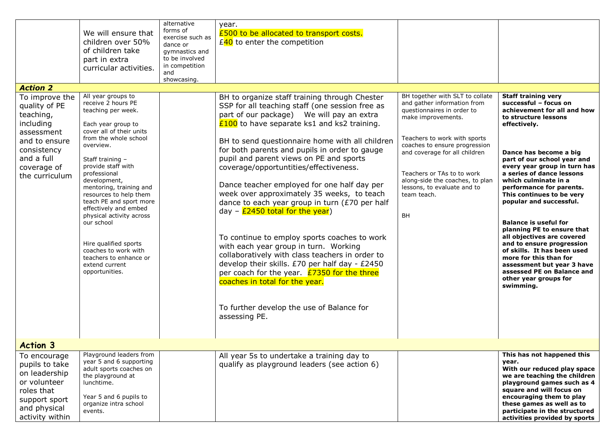| <b>Action 2</b><br>To improve the<br>quality of PE<br>teaching,<br>including<br>assessment<br>and to ensure<br>consistency<br>and a full<br>coverage of<br>the curriculum | We will ensure that<br>children over 50%<br>of children take<br>part in extra<br>curricular activities.<br>All year groups to<br>receive 2 hours PE<br>teaching per week.<br>Each year group to<br>cover all of their units<br>from the whole school<br>overview.<br>Staff training -<br>provide staff with<br>professional<br>development,<br>mentoring, training and<br>resources to help them<br>teach PE and sport more<br>effectively and embed<br>physical activity across<br>our school<br>Hire qualified sports<br>coaches to work with<br>teachers to enhance or<br>extend current<br>opportunities. | alternative<br>forms of<br>exercise such as<br>dance or<br>gymnastics and<br>to be involved<br>in competition<br>and<br>showcasing. | year.<br>£500 to be allocated to transport costs.<br>$E$ <sup>40</sup> to enter the competition<br>BH to organize staff training through Chester<br>SSP for all teaching staff (one session free as<br>part of our package) We will pay an extra<br>$E100$ to have separate ks1 and ks2 training.<br>BH to send questionnaire home with all children<br>for both parents and pupils in order to gauge<br>pupil and parent views on PE and sports<br>coverage/opportuntities/effectiveness.<br>Dance teacher employed for one half day per<br>week over approximately 35 weeks, to teach<br>dance to each year group in turn (£70 per half<br>day - $\frac{2450 \text{ total for the year}}{2450}$<br>To continue to employ sports coaches to work<br>with each year group in turn. Working<br>collaboratively with class teachers in order to<br>develop their skills. £70 per half day - £2450<br>per coach for the year. <b>£7350 for the three</b> | BH together with SLT to collate<br>and gather information from<br>questionnaires in order to<br>make improvements.<br>Teachers to work with sports<br>coaches to ensure progression<br>and coverage for all children<br>Teachers or TAs to to work<br>along-side the coaches, to plan<br>lessons, to evaluate and to<br>team teach.<br>BH | <b>Staff training very</b><br>successful - focus on<br>achievement for all and how<br>to structure lessons<br>effectively.<br>Dance has become a big<br>part of our school year and<br>every year group in turn has<br>a series of dance lessons<br>which culminate in a<br>performance for parents.<br>This continues to be very<br>popular and successful.<br><b>Balance is useful for</b><br>planning PE to ensure that<br>all objectives are covered<br>and to ensure progression<br>of skills. It has been used<br>more for this than for<br>assessment but year 3 have<br>assessed PE on Balance and<br>other year groups for |
|---------------------------------------------------------------------------------------------------------------------------------------------------------------------------|---------------------------------------------------------------------------------------------------------------------------------------------------------------------------------------------------------------------------------------------------------------------------------------------------------------------------------------------------------------------------------------------------------------------------------------------------------------------------------------------------------------------------------------------------------------------------------------------------------------|-------------------------------------------------------------------------------------------------------------------------------------|-------------------------------------------------------------------------------------------------------------------------------------------------------------------------------------------------------------------------------------------------------------------------------------------------------------------------------------------------------------------------------------------------------------------------------------------------------------------------------------------------------------------------------------------------------------------------------------------------------------------------------------------------------------------------------------------------------------------------------------------------------------------------------------------------------------------------------------------------------------------------------------------------------------------------------------------------------|-------------------------------------------------------------------------------------------------------------------------------------------------------------------------------------------------------------------------------------------------------------------------------------------------------------------------------------------|-------------------------------------------------------------------------------------------------------------------------------------------------------------------------------------------------------------------------------------------------------------------------------------------------------------------------------------------------------------------------------------------------------------------------------------------------------------------------------------------------------------------------------------------------------------------------------------------------------------------------------------|
| <b>Action 3</b>                                                                                                                                                           |                                                                                                                                                                                                                                                                                                                                                                                                                                                                                                                                                                                                               |                                                                                                                                     | coaches in total for the year.<br>To further develop the use of Balance for<br>assessing PE.                                                                                                                                                                                                                                                                                                                                                                                                                                                                                                                                                                                                                                                                                                                                                                                                                                                          |                                                                                                                                                                                                                                                                                                                                           | swimming.                                                                                                                                                                                                                                                                                                                                                                                                                                                                                                                                                                                                                           |
| To encourage<br>pupils to take<br>on leadership<br>or volunteer<br>roles that<br>support sport<br>and physical<br>activity within                                         | Playground leaders from<br>year 5 and 6 supporting<br>adult sports coaches on<br>the playground at<br>lunchtime.<br>Year 5 and 6 pupils to<br>organize intra school<br>events.                                                                                                                                                                                                                                                                                                                                                                                                                                |                                                                                                                                     | All year 5s to undertake a training day to<br>qualify as playground leaders (see action 6)                                                                                                                                                                                                                                                                                                                                                                                                                                                                                                                                                                                                                                                                                                                                                                                                                                                            |                                                                                                                                                                                                                                                                                                                                           | This has not happened this<br>year.<br>With our reduced play space<br>we are teaching the children<br>playground games such as 4<br>square and will focus on<br>encouraging them to play<br>these games as well as to<br>participate in the structured<br>activities provided by sports                                                                                                                                                                                                                                                                                                                                             |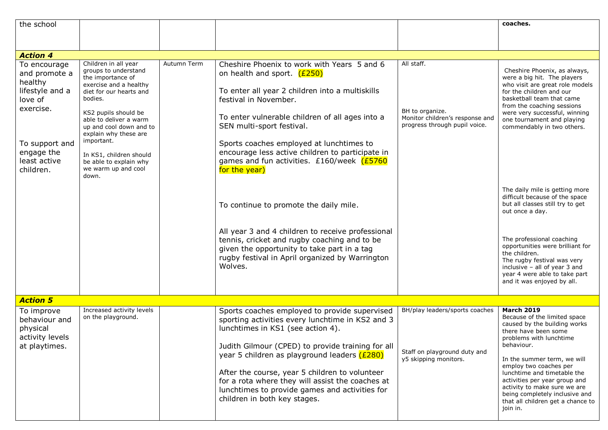| the school                                                                                                                                       |                                                                                                                                                                                                                                                                                                                                            |             |                                                                                                                                                                                                                                                                                                                                                                                                                                                 |                                                                                                   | coaches.                                                                                                                                                                                                                                                                                                                                                                                                      |  |  |  |
|--------------------------------------------------------------------------------------------------------------------------------------------------|--------------------------------------------------------------------------------------------------------------------------------------------------------------------------------------------------------------------------------------------------------------------------------------------------------------------------------------------|-------------|-------------------------------------------------------------------------------------------------------------------------------------------------------------------------------------------------------------------------------------------------------------------------------------------------------------------------------------------------------------------------------------------------------------------------------------------------|---------------------------------------------------------------------------------------------------|---------------------------------------------------------------------------------------------------------------------------------------------------------------------------------------------------------------------------------------------------------------------------------------------------------------------------------------------------------------------------------------------------------------|--|--|--|
|                                                                                                                                                  |                                                                                                                                                                                                                                                                                                                                            |             |                                                                                                                                                                                                                                                                                                                                                                                                                                                 |                                                                                                   |                                                                                                                                                                                                                                                                                                                                                                                                               |  |  |  |
|                                                                                                                                                  |                                                                                                                                                                                                                                                                                                                                            |             |                                                                                                                                                                                                                                                                                                                                                                                                                                                 |                                                                                                   |                                                                                                                                                                                                                                                                                                                                                                                                               |  |  |  |
| <b>Action 4</b>                                                                                                                                  |                                                                                                                                                                                                                                                                                                                                            |             |                                                                                                                                                                                                                                                                                                                                                                                                                                                 |                                                                                                   |                                                                                                                                                                                                                                                                                                                                                                                                               |  |  |  |
| To encourage<br>and promote a<br>healthy<br>lifestyle and a<br>love of<br>exercise.<br>To support and<br>engage the<br>least active<br>children. | Children in all year<br>groups to understand<br>the importance of<br>exercise and a healthy<br>diet for our hearts and<br>bodies.<br>KS2 pupils should be<br>able to deliver a warm<br>up and cool down and to<br>explain why these are<br>important.<br>In KS1, children should<br>be able to explain why<br>we warm up and cool<br>down. | Autumn Term | Cheshire Phoenix to work with Years 5 and 6<br>on health and sport. (£250)<br>To enter all year 2 children into a multiskills<br>festival in November.<br>To enter vulnerable children of all ages into a<br>SEN multi-sport festival.<br>Sports coaches employed at lunchtimes to<br>encourage less active children to participate in<br>games and fun activities. £160/week (£5760<br>for the year)<br>To continue to promote the daily mile. | All staff.<br>BH to organize.<br>Monitor children's response and<br>progress through pupil voice. | Cheshire Phoenix, as always,<br>were a big hit. The players<br>who visit are great role models<br>for the children and our<br>basketball team that came<br>from the coaching sessions<br>were very successful, winning<br>one tournament and playing<br>commendably in two others.<br>The daily mile is getting more<br>difficult because of the space<br>but all classes still try to get<br>out once a day. |  |  |  |
|                                                                                                                                                  |                                                                                                                                                                                                                                                                                                                                            |             | All year 3 and 4 children to receive professional<br>tennis, cricket and rugby coaching and to be<br>given the opportunity to take part in a tag<br>rugby festival in April organized by Warrington<br>Wolves.                                                                                                                                                                                                                                  |                                                                                                   | The professional coaching<br>opportunities were brilliant for<br>the children.<br>The rugby festival was very<br>inclusive - all of year 3 and<br>year 4 were able to take part<br>and it was enjoyed by all.                                                                                                                                                                                                 |  |  |  |
| <b>Action 5</b>                                                                                                                                  |                                                                                                                                                                                                                                                                                                                                            |             |                                                                                                                                                                                                                                                                                                                                                                                                                                                 |                                                                                                   |                                                                                                                                                                                                                                                                                                                                                                                                               |  |  |  |
| To improve<br>behaviour and<br>physical<br>activity levels<br>at playtimes.                                                                      | Increased activity levels<br>on the playground.                                                                                                                                                                                                                                                                                            |             | Sports coaches employed to provide supervised<br>sporting activities every lunchtime in KS2 and 3<br>lunchtimes in KS1 (see action 4).<br>Judith Gilmour (CPED) to provide training for all<br>year 5 children as playground leaders (£280)<br>After the course, year 5 children to volunteer<br>for a rota where they will assist the coaches at<br>lunchtimes to provide games and activities for<br>children in both key stages.             | BH/play leaders/sports coaches<br>Staff on playground duty and<br>y5 skipping monitors.           | <b>March 2019</b><br>Because of the limited space<br>caused by the building works<br>there have been some<br>problems with lunchtime<br>behaviour.<br>In the summer term, we will<br>employ two coaches per<br>lunchtime and timetable the<br>activities per year group and<br>activity to make sure we are<br>being completely inclusive and<br>that all children get a chance to<br>join in.                |  |  |  |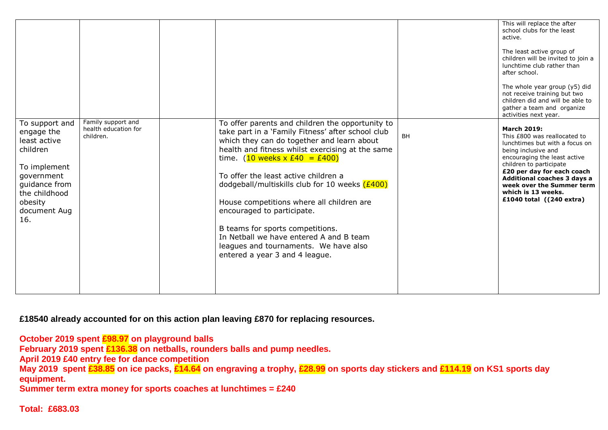|                                                                                                                                                            |                                                         |                                                                                                                                                                                                                                                                                                                                                                                                                                                                                                                                                                             |           | This will replace the after<br>school clubs for the least<br>active.<br>The least active group of<br>children will be invited to join a<br>lunchtime club rather than<br>after school.<br>The whole year group (y5) did<br>not receive training but two<br>children did and will be able to<br>gather a team and organize<br>activities next year. |
|------------------------------------------------------------------------------------------------------------------------------------------------------------|---------------------------------------------------------|-----------------------------------------------------------------------------------------------------------------------------------------------------------------------------------------------------------------------------------------------------------------------------------------------------------------------------------------------------------------------------------------------------------------------------------------------------------------------------------------------------------------------------------------------------------------------------|-----------|----------------------------------------------------------------------------------------------------------------------------------------------------------------------------------------------------------------------------------------------------------------------------------------------------------------------------------------------------|
| To support and<br>engage the<br>least active<br>children<br>To implement<br>government<br>quidance from<br>the childhood<br>obesity<br>document Aug<br>16. | Family support and<br>health education for<br>children. | To offer parents and children the opportunity to<br>take part in a 'Family Fitness' after school club<br>which they can do together and learn about<br>health and fitness whilst exercising at the same<br>time. $(10$ weeks x £40 = £400)<br>To offer the least active children a<br>dodgeball/multiskills club for 10 weeks $(E400)$<br>House competitions where all children are<br>encouraged to participate.<br>B teams for sports competitions.<br>In Netball we have entered A and B team<br>leagues and tournaments. We have also<br>entered a year 3 and 4 league. | <b>BH</b> | <b>March 2019:</b><br>This £800 was reallocated to<br>lunchtimes but with a focus on<br>being inclusive and<br>encouraging the least active<br>children to participate<br>£20 per day for each coach<br><b>Additional coaches 3 days a</b><br>week over the Summer term<br>which is 13 weeks.<br>£1040 total $(240 \text{ extra})$                 |

**£18540 already accounted for on this action plan leaving £870 for replacing resources.**

**October 2019 spent £98.97 on playground balls**

**February 2019 spent £136.38 on netballs, rounders balls and pump needles.**

**April 2019 £40 entry fee for dance competition**

**May 2019 spent £38.85 on ice packs, £14.64 on engraving a trophy, £28.99 on sports day stickers and £114.19 on KS1 sports day equipment.**

**Summer term extra money for sports coaches at lunchtimes = £240**